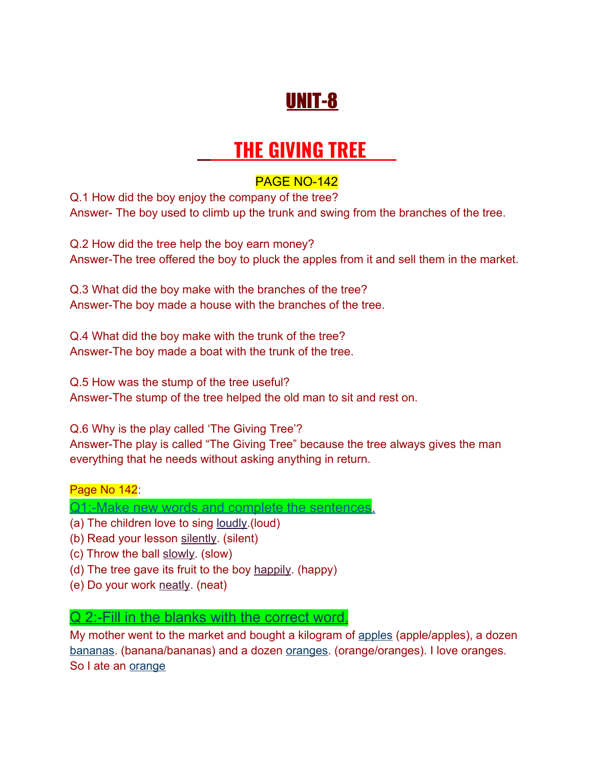## UNIT-8

# **THE GIVING TREE**

#### PAGE NO-142

Q.1 How did the boy enjoy the company of the tree? Answer- The boy used to climb up the trunk and swing from the branches of the tree.

Q.2 How did the tree help the boy earn money? Answer-The tree offered the boy to pluck the apples from it and sell them in the market.

Q.3 What did the boy make with the branches of the tree? Answer-The boy made a house with the branches of the tree.

Q.4 What did the boy make with the trunk of the tree? Answer-The boy made a boat with the trunk of the tree.

Q.5 How was the stump of the tree useful? Answer-The stump of the tree helped the old man to sit and rest on.

Q.6 Why is the play called 'The Giving Tree'? Answer-The play is called "The Giving Tree" because the tree always gives the man everything that he needs without asking anything in return.

Page No 142:

Q1:-Make new words and complete the sentences.

- (a) The children love to sing loudly.(loud)
- (b) Read your lesson silently. (silent)
- (c) Throw the ball slowly. (slow)
- (d) The tree gave its fruit to the boy happily. (happy)
- (e) Do your work neatly. (neat)

Q 2:-Fill in the blanks with the correct word.

My mother went to the market and bought a kilogram of apples (apple/apples), a dozen bananas. (banana/bananas) and a dozen **oranges.** (orange/oranges). I love oranges. So I ate an orange